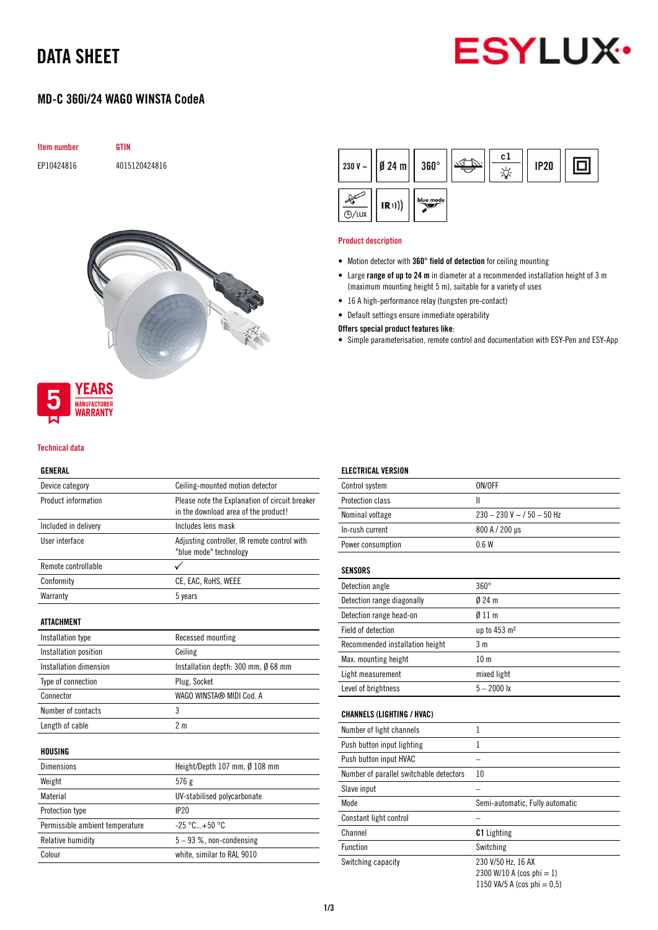# DATA SHEET



# MD-C 360i/24 WAGO WINSTA CodeA





**MANUFACTURER** WARRANTY

### Technical data

### GENERAL

| Device category                 | Ceiling-mounted motion detector                                                        |  |  |
|---------------------------------|----------------------------------------------------------------------------------------|--|--|
| Product information             | Please note the Explanation of circuit breaker<br>in the download area of the product! |  |  |
| Included in delivery            | Includes lens mask                                                                     |  |  |
| User interface                  | Adjusting controller, IR remote control with<br>"blue mode" technology                 |  |  |
| Remote controllable             |                                                                                        |  |  |
| Conformity                      | CE, EAC, RoHS, WEEE                                                                    |  |  |
| Warranty                        | 5 years                                                                                |  |  |
| <b>ATTACHMENT</b>               |                                                                                        |  |  |
| Installation type               | Recessed mounting                                                                      |  |  |
| Installation position           | Ceiling                                                                                |  |  |
| Installation dimension          | Installation depth: 300 mm, Ø 68 mm                                                    |  |  |
| Type of connection              | Plug, Socket                                                                           |  |  |
| Connector                       | WAGO WINSTA® MIDI Cod. A                                                               |  |  |
| Number of contacts              | 3                                                                                      |  |  |
| Length of cable                 | 2 <sub>m</sub>                                                                         |  |  |
| HOUSING                         |                                                                                        |  |  |
| Dimensions                      | Height/Depth 107 mm, Ø 108 mm                                                          |  |  |
| Weight                          | 576 g                                                                                  |  |  |
| Material                        | UV-stabilised polycarbonate                                                            |  |  |
| Protection type                 | IP20                                                                                   |  |  |
| Permissible ambient temperature | $-25 °C+50 °C$                                                                         |  |  |
| Relative humidity               | $5 - 93$ %, non-condensing                                                             |  |  |
| Colour                          | white, similar to RAL 9010                                                             |  |  |

|                   | $ 230 V -  $   Ø 24 m     360° |           | c1 | <b>IP20</b> |  |
|-------------------|--------------------------------|-----------|----|-------------|--|
| <sup>D</sup> /LUX | (R))                           | blue mode |    |             |  |

#### Product description

ELECTRICAL VERSION

- Motion detector with 360° field of detection for ceiling mounting
- Large range of up to 24 m in diameter at a recommended installation height of 3 m (maximum mounting height 5 m), suitable for a variety of uses
- 16 A high-performance relay (tungsten pre-contact)
- Default settings ensure immediate operability

#### Offers special product features like:

• Simple parameterisation, remote control and documentation with ESY-Pen and ESY-App

| Control system                          | ON/OFF                                                                            |
|-----------------------------------------|-----------------------------------------------------------------------------------|
| <b>Protection class</b>                 | Ш                                                                                 |
| Nominal voltage                         | $230 - 230$ V ~ / 50 - 50 Hz                                                      |
| In-rush current                         | 800 A / 200 µs                                                                    |
| Power consumption                       | 0.6W                                                                              |
| <b>SENSORS</b>                          |                                                                                   |
| Detection angle                         | $360^\circ$                                                                       |
| Detection range diagonally              | $024$ m                                                                           |
| Detection range head-on                 | $\emptyset$ 11 m                                                                  |
| Field of detection                      | up to 453 m <sup>2</sup>                                                          |
| Recommended installation height         | 3 <sub>m</sub>                                                                    |
| Max. mounting height                    | 10 <sub>m</sub>                                                                   |
| Light measurement                       | mixed light                                                                       |
| Level of brightness                     | $5 - 2000$ lx                                                                     |
| <b>CHANNELS (LIGHTING / HVAC)</b>       |                                                                                   |
| Number of light channels                | $\mathbf{1}$                                                                      |
| Push button input lighting              | 1                                                                                 |
| Push button input HVAC                  |                                                                                   |
| Number of parallel switchable detectors | 10                                                                                |
| Slave input                             |                                                                                   |
| Mode                                    | Semi-automatic, Fully automatic                                                   |
| Constant light control                  |                                                                                   |
| Channel                                 | <b>C1</b> Lighting                                                                |
| Function                                | Switching                                                                         |
| Switching capacity                      | 230 V/50 Hz, 16 AX<br>2300 W/10 A (cos phi = 1)<br>1150 VA/5 A (cos phi = $0,5$ ) |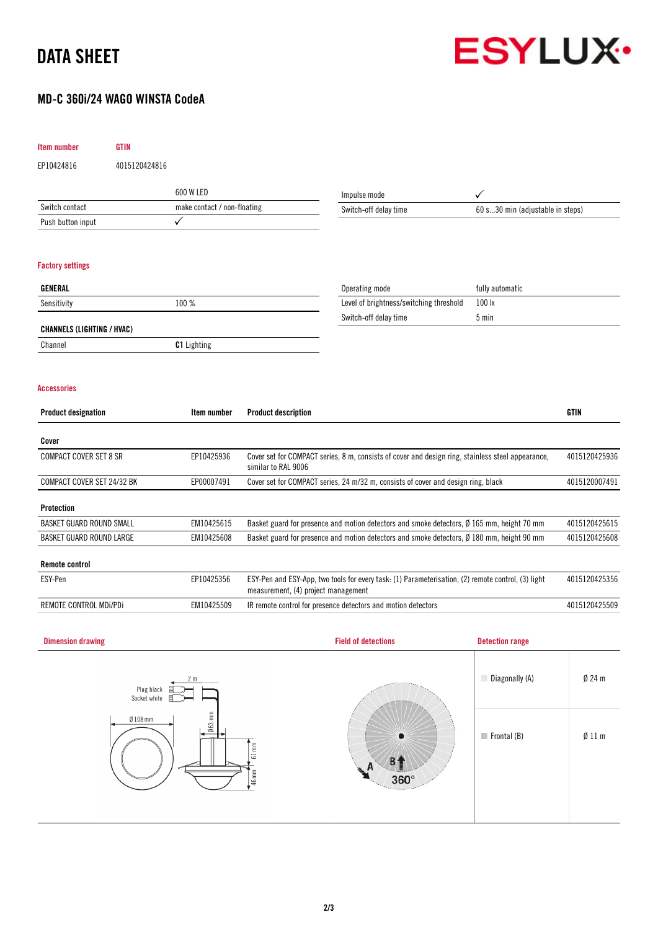# DATA SHEET



Frontal (B) Ø 11 m

# MD-C 360i/24 WAGO WINSTA CodeA

| Item number                       | <b>GTIN</b>                 |                    |                                                                                                                                           |                                                                                            |                                  |               |  |
|-----------------------------------|-----------------------------|--------------------|-------------------------------------------------------------------------------------------------------------------------------------------|--------------------------------------------------------------------------------------------|----------------------------------|---------------|--|
| EP10424816                        | 4015120424816               |                    |                                                                                                                                           |                                                                                            |                                  |               |  |
|                                   |                             | 600 W LED          |                                                                                                                                           | Impulse mode                                                                               | ✓                                |               |  |
| Switch contact                    | make contact / non-floating |                    |                                                                                                                                           | Switch-off delay time                                                                      | 60 s30 min (adjustable in steps) |               |  |
| Push button input                 |                             | $\checkmark$       |                                                                                                                                           |                                                                                            |                                  |               |  |
| <b>Factory settings</b>           |                             |                    |                                                                                                                                           |                                                                                            |                                  |               |  |
| GENERAL                           |                             |                    |                                                                                                                                           | Operating mode                                                                             | fully automatic                  |               |  |
| Sensitivity                       |                             | 100 %              |                                                                                                                                           | Level of brightness/switching threshold                                                    | 100 lx                           |               |  |
| <b>CHANNELS (LIGHTING / HVAC)</b> |                             |                    |                                                                                                                                           | Switch-off delay time                                                                      | 5 min                            |               |  |
| Channel                           |                             | <b>C1</b> Lighting |                                                                                                                                           |                                                                                            |                                  |               |  |
| <b>Accessories</b>                |                             |                    |                                                                                                                                           |                                                                                            |                                  |               |  |
| <b>Product designation</b>        |                             | Item number        | <b>Product description</b>                                                                                                                |                                                                                            |                                  | <b>GTIN</b>   |  |
| Cover                             |                             |                    |                                                                                                                                           |                                                                                            |                                  |               |  |
| <b>COMPACT COVER SET 8 SR</b>     |                             | EP10425936         | Cover set for COMPACT series, 8 m, consists of cover and design ring, stainless steel appearance,<br>similar to RAL 9006                  |                                                                                            |                                  | 4015120425936 |  |
| COMPACT COVER SET 24/32 BK        |                             | EP00007491         | Cover set for COMPACT series, 24 m/32 m, consists of cover and design ring, black                                                         |                                                                                            |                                  | 4015120007491 |  |
| <b>Protection</b>                 |                             |                    |                                                                                                                                           |                                                                                            |                                  |               |  |
| BASKET GUARD ROUND SMALL          |                             | EM10425615         |                                                                                                                                           | Basket guard for presence and motion detectors and smoke detectors, Ø 165 mm, height 70 mm |                                  |               |  |
| BASKET GUARD ROUND LARGE          |                             | EM10425608         |                                                                                                                                           | Basket guard for presence and motion detectors and smoke detectors, Ø 180 mm, height 90 mm |                                  |               |  |
| <b>Remote control</b>             |                             |                    |                                                                                                                                           |                                                                                            |                                  |               |  |
| ESY-Pen                           |                             | EP10425356         | ESY-Pen and ESY-App, two tools for every task: (1) Parameterisation, (2) remote control, (3) light<br>measurement, (4) project management |                                                                                            |                                  | 4015120425356 |  |
| REMOTE CONTROL MDi/PDi            |                             | EM10425509         |                                                                                                                                           | IR remote control for presence detectors and motion detectors                              |                                  | 4015120425509 |  |
|                                   |                             |                    |                                                                                                                                           |                                                                                            |                                  |               |  |
| <b>Dimension drawing</b>          |                             |                    |                                                                                                                                           | <b>Field of detections</b>                                                                 | <b>Detection range</b>           |               |  |
|                                   | Plug black<br>Socket white  |                    |                                                                                                                                           |                                                                                            | Diagonally (A)                   | $Ø$ 24 m      |  |
|                                   | $Ø$ 108 mm                  | $063$ mm           |                                                                                                                                           |                                                                                            |                                  |               |  |

 $B<sub>1</sub>$  $360^\circ$ 

 $\frac{1}{61 \text{ mm}}$